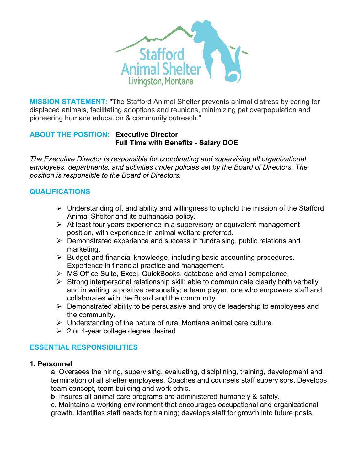

**MISSION STATEMENT:** "The Stafford Animal Shelter prevents animal distress by caring for displaced animals, facilitating adoptions and reunions, minimizing pet overpopulation and pioneering humane education & community outreach."

#### **ABOUT THE POSITION: Executive Director Full Time with Benefits - Salary DOE**

*The Executive Director is responsible for coordinating and supervising all organizational employees, departments, and activities under policies set by the Board of Directors. The position is responsible to the Board of Directors.*

# **QUALIFICATIONS**

- $\triangleright$  Understanding of, and ability and willingness to uphold the mission of the Stafford Animal Shelter and its euthanasia policy.
- $\triangleright$  At least four years experience in a supervisory or equivalent management position, with experience in animal welfare preferred.
- $\triangleright$  Demonstrated experience and success in fundraising, public relations and marketing.
- $\triangleright$  Budget and financial knowledge, including basic accounting procedures. Experience in financial practice and management.
- Ø MS Office Suite, Excel, QuickBooks, database and email competence.
- $\triangleright$  Strong interpersonal relationship skill; able to communicate clearly both verbally and in writing; a positive personality; a team player, one who empowers staff and collaborates with the Board and the community.
- $\triangleright$  Demonstrated ability to be persuasive and provide leadership to employees and the community.
- $\triangleright$  Understanding of the nature of rural Montana animal care culture.
- $\geq 2$  or 4-year college degree desired

# **ESSENTIAL RESPONSIBILITIES**

#### **1. Personnel**

a. Oversees the hiring, supervising, evaluating, disciplining, training, development and termination of all shelter employees. Coaches and counsels staff supervisors. Develops team concept, team building and work ethic.

b. Insures all animal care programs are administered humanely & safely.

c. Maintains a working environment that encourages occupational and organizational growth. Identifies staff needs for training; develops staff for growth into future posts.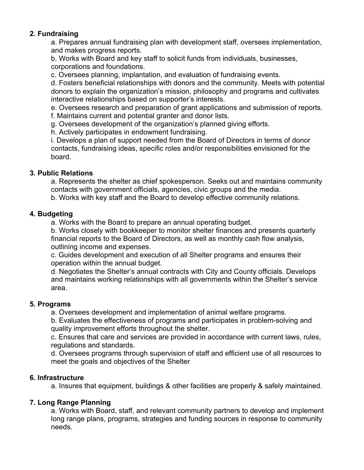### **2. Fundraising**

a. Prepares annual fundraising plan with development staff, oversees implementation, and makes progress reports.

b. Works with Board and key staff to solicit funds from individuals, businesses, corporations and foundations.

c. Oversees planning, implantation, and evaluation of fundraising events.

d. Fosters beneficial relationships with donors and the community. Meets with potential donors to explain the organization's mission, philosophy and programs and cultivates interactive relationships based on supporter's interests.

e. Oversees research and preparation of grant applications and submission of reports.

f. Maintains current and potential granter and donor lists.

g. Oversees development of the organization's planned giving efforts.

h. Actively participates in endowment fundraising.

i. Develops a plan of support needed from the Board of Directors in terms of donor contacts, fundraising ideas, specific roles and/or responsibilities envisioned for the board.

#### **3. Public Relations**

a. Represents the shelter as chief spokesperson. Seeks out and maintains community contacts with government officials, agencies, civic groups and the media.

b. Works with key staff and the Board to develop effective community relations.

### **4. Budgeting**

a. Works with the Board to prepare an annual operating budget.

b. Works closely with bookkeeper to monitor shelter finances and presents quarterly financial reports to the Board of Directors, as well as monthly cash flow analysis, outlining income and expenses.

c. Guides development and execution of all Shelter programs and ensures their operation within the annual budget.

d. Negotiates the Shelter's annual contracts with City and County officials. Develops and maintains working relationships with all governments within the Shelter's service area.

#### **5. Programs**

a. Oversees development and implementation of animal welfare programs.

b. Evaluates the effectiveness of programs and participates in problem-solving and quality improvement efforts throughout the shelter.

c. Ensures that care and services are provided in accordance with current laws, rules, regulations and standards.

d. Oversees programs through supervision of staff and efficient use of all resources to meet the goals and objectives of the Shelter

# **6. Infrastructure**

a. Insures that equipment, buildings & other facilities are properly & safely maintained.

# **7. Long Range Planning**

a. Works with Board, staff, and relevant community partners to develop and implement long range plans, programs, strategies and funding sources in response to community needs.